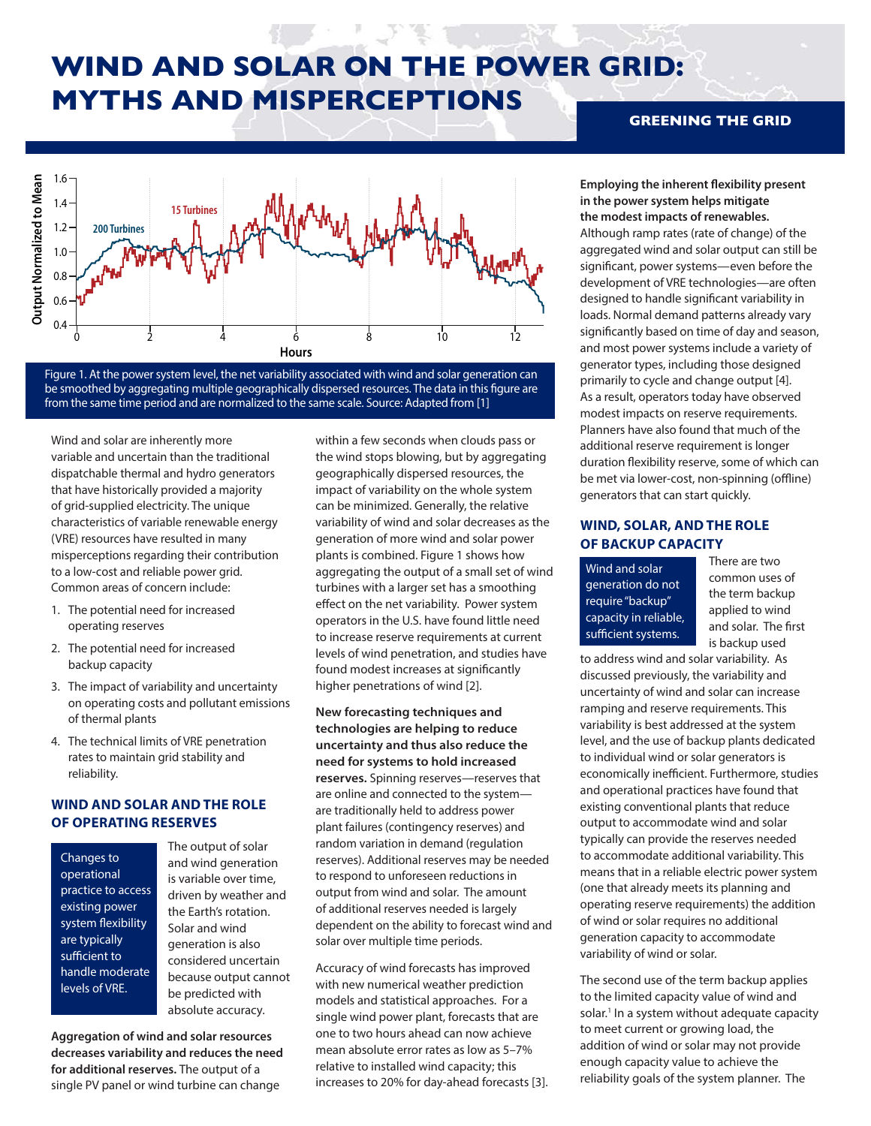# **WIND AND SOLAR ON THE POWER GRID: MYTHS AND MISPERCEPTIONS**



Figure 1. At the power system level, the net variability associated with wind and solar generation can be smoothed by aggregating multiple geographically dispersed resources. The data in this figure are from the same time period and are normalized to the same scale. Source: Adapted from [1]

Wind and solar are inherently more variable and uncertain than the traditional dispatchable thermal and hydro generators that have historically provided a majority of grid-supplied electricity. The unique characteristics of variable renewable energy (VRE) resources have resulted in many misperceptions regarding their contribution to a low-cost and reliable power grid. Common areas of concern include:

- 1. The potential need for increased operating reserves
- 2. The potential need for increased backup capacity
- 3. The impact of variability and uncertainty on operating costs and pollutant emissions of thermal plants
- 4. The technical limits of VRE penetration rates to maintain grid stability and reliability.

## **WIND AND SOLAR AND THE ROLE OF OPERATING RESERVES**

Changes to operational practice to access existing power system flexibility are typically sufficient to handle moderate levels of VRE.

The output of solar and wind generation is variable over time, driven by weather and the Earth's rotation. Solar and wind generation is also considered uncertain because output cannot be predicted with absolute accuracy.

**Aggregation of wind and solar resources decreases variability and reduces the need for additional reserves.** The output of a single PV panel or wind turbine can change

within a few seconds when clouds pass or the wind stops blowing, but by aggregating geographically dispersed resources, the impact of variability on the whole system can be minimized. Generally, the relative variability of wind and solar decreases as the generation of more wind and solar power plants is combined. Figure 1 shows how aggregating the output of a small set of wind turbines with a larger set has a smoothing effect on the net variability. Power system operators in the U.S. have found little need to increase reserve requirements at current levels of wind penetration, and studies have found modest increases at significantly higher penetrations of wind [2].

**New forecasting techniques and technologies are helping to reduce uncertainty and thus also reduce the need for systems to hold increased reserves.** Spinning reserves—reserves that are online and connected to the system are traditionally held to address power plant failures (contingency reserves) and random variation in demand (regulation reserves). Additional reserves may be needed to respond to unforeseen reductions in output from wind and solar. The amount of additional reserves needed is largely dependent on the ability to forecast wind and solar over multiple time periods.

Accuracy of wind forecasts has improved with new numerical weather prediction models and statistical approaches. For a single wind power plant, forecasts that are one to two hours ahead can now achieve mean absolute error rates as low as 5–7% relative to installed wind capacity; this increases to 20% for day-ahead forecasts [3].

### **GREENING THE GRID**

**Employing the inherent flexibility present in the power system helps mitigate the modest impacts of renewables.** Although ramp rates (rate of change) of the

aggregated wind and solar output can still be significant, power systems—even before the development of VRE technologies—are often designed to handle significant variability in loads. Normal demand patterns already vary significantly based on time of day and season, and most power systems include a variety of generator types, including those designed primarily to cycle and change output [4]. As a result, operators today have observed modest impacts on reserve requirements. Planners have also found that much of the additional reserve requirement is longer duration flexibility reserve, some of which can be met via lower-cost, non-spinning (offline) generators that can start quickly.

### **WIND, SOLAR, AND THE ROLE OF BACKUP CAPACITY**

Wind and solar generation do not require "backup" capacity in reliable, sufficient systems.

There are two common uses of the term backup applied to wind and solar. The first is backup used

to address wind and solar variability. As discussed previously, the variability and uncertainty of wind and solar can increase ramping and reserve requirements. This variability is best addressed at the system level, and the use of backup plants dedicated to individual wind or solar generators is economically inefficient. Furthermore, studies and operational practices have found that existing conventional plants that reduce output to accommodate wind and solar typically can provide the reserves needed to accommodate additional variability. This means that in a reliable electric power system (one that already meets its planning and operating reserve requirements) the addition of wind or solar requires no additional generation capacity to accommodate variability of wind or solar.

The second use of the term backup applies to the limited capacity value of wind and solar.<sup>1</sup> In a system without adequate capacity to meet current or growing load, the addition of wind or solar may not provide enough capacity value to achieve the reliability goals of the system planner. The